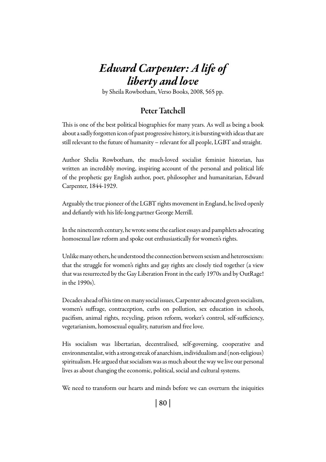## *Edward Carpenter: A life of liberty and love*

by Sheila Rowbotham, Verso Books, 2008, 565 pp.

## Peter Tatchell

This is one of the best political biographies for many years. As well as being a book about a sadly forgotten icon of past progressive history, it is bursting with ideas that are still relevant to the future of humanity – relevant for all people, LGBT and straight.

Author Shelia Rowbotham, the much-loved socialist feminist historian, has written an incredibly moving, inspiring account of the personal and political life of the prophetic gay English author, poet, philosopher and humanitarian, Edward Carpenter, 1844-1929.

Arguably the true pioneer of the LGBT rights movement in England, he lived openly and defiantly with his life-long partner George Merrill.

In the nineteenth century, he wrote some the earliest essays and pamphlets advocating homosexual law reform and spoke out enthusiastically for women's rights.

Unlike many others, he understood the connection between sexism and heterosexism: that the struggle for women's rights and gay rights are closely tied together (a view that was resurrected by the Gay Liberation Front in the early 1970s and by OutRage! in the 1990s).

Decades ahead of his time on many social issues, Carpenter advocated green socialism, women's suffrage, contraception, curbs on pollution, sex education in schools, pacifism, animal rights, recycling, prison reform, worker's control, self-sufficiency, vegetarianism, homosexual equality, naturism and free love.

His socialism was libertarian, decentralised, self-governing, cooperative and environmentalist, with a strong streak of anarchism, individualism and (non-religious) spiritualism. He argued that socialism was as much about the way we live our personal lives as about changing the economic, political, social and cultural systems.

We need to transform our hearts and minds before we can overturn the iniquities